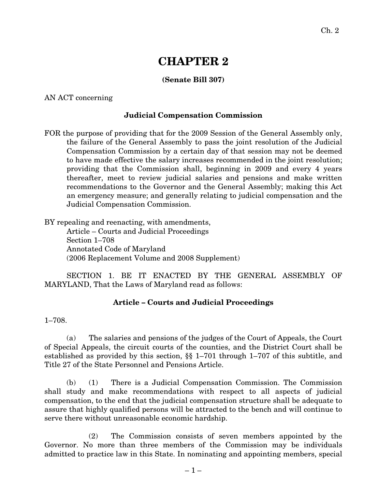# **CHAPTER 2**

## **(Senate Bill 307)**

AN ACT concerning

### **Judicial Compensation Commission**

FOR the purpose of providing that for the 2009 Session of the General Assembly only, the failure of the General Assembly to pass the joint resolution of the Judicial Compensation Commission by a certain day of that session may not be deemed to have made effective the salary increases recommended in the joint resolution; providing that the Commission shall, beginning in 2009 and every 4 years thereafter, meet to review judicial salaries and pensions and make written recommendations to the Governor and the General Assembly; making this Act an emergency measure; and generally relating to judicial compensation and the Judicial Compensation Commission.

BY repealing and reenacting, with amendments,

Article – Courts and Judicial Proceedings Section 1–708 Annotated Code of Maryland (2006 Replacement Volume and 2008 Supplement)

SECTION 1. BE IT ENACTED BY THE GENERAL ASSEMBLY OF MARYLAND, That the Laws of Maryland read as follows:

### **Article – Courts and Judicial Proceedings**

1–708.

(a) The salaries and pensions of the judges of the Court of Appeals, the Court of Special Appeals, the circuit courts of the counties, and the District Court shall be established as provided by this section, §§ 1–701 through 1–707 of this subtitle, and Title 27 of the State Personnel and Pensions Article.

(b) (1) There is a Judicial Compensation Commission. The Commission shall study and make recommendations with respect to all aspects of judicial compensation, to the end that the judicial compensation structure shall be adequate to assure that highly qualified persons will be attracted to the bench and will continue to serve there without unreasonable economic hardship.

(2) The Commission consists of seven members appointed by the Governor. No more than three members of the Commission may be individuals admitted to practice law in this State. In nominating and appointing members, special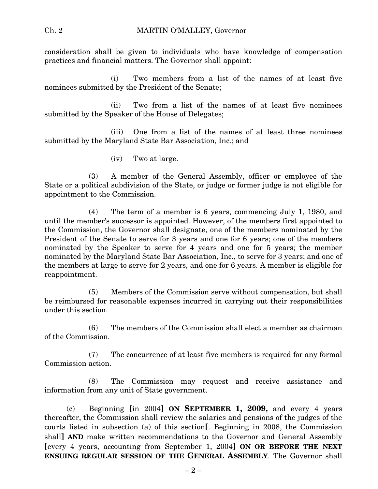consideration shall be given to individuals who have knowledge of compensation practices and financial matters. The Governor shall appoint:

(i) Two members from a list of the names of at least five nominees submitted by the President of the Senate;

(ii) Two from a list of the names of at least five nominees submitted by the Speaker of the House of Delegates;

(iii) One from a list of the names of at least three nominees submitted by the Maryland State Bar Association, Inc.; and

(iv) Two at large.

(3) A member of the General Assembly, officer or employee of the State or a political subdivision of the State, or judge or former judge is not eligible for appointment to the Commission.

(4) The term of a member is 6 years, commencing July 1, 1980, and until the member's successor is appointed. However, of the members first appointed to the Commission, the Governor shall designate, one of the members nominated by the President of the Senate to serve for 3 years and one for 6 years; one of the members nominated by the Speaker to serve for 4 years and one for 5 years; the member nominated by the Maryland State Bar Association, Inc., to serve for 3 years; and one of the members at large to serve for 2 years, and one for 6 years. A member is eligible for reappointment.

(5) Members of the Commission serve without compensation, but shall be reimbursed for reasonable expenses incurred in carrying out their responsibilities under this section.

(6) The members of the Commission shall elect a member as chairman of the Commission.

(7) The concurrence of at least five members is required for any formal Commission action.

(8) The Commission may request and receive assistance and information from any unit of State government.

(c) Beginning **[**in 2004**] ON SEPTEMBER 1, 2009,** and every 4 years thereafter, the Commission shall review the salaries and pensions of the judges of the courts listed in subsection (a) of this section**[**. Beginning in 2008, the Commission shall**] AND** make written recommendations to the Governor and General Assembly **[**every 4 years, accounting from September 1, 2004**] ON OR BEFORE THE NEXT ENSUING REGULAR SESSION OF THE GENERAL ASSEMBLY**. The Governor shall